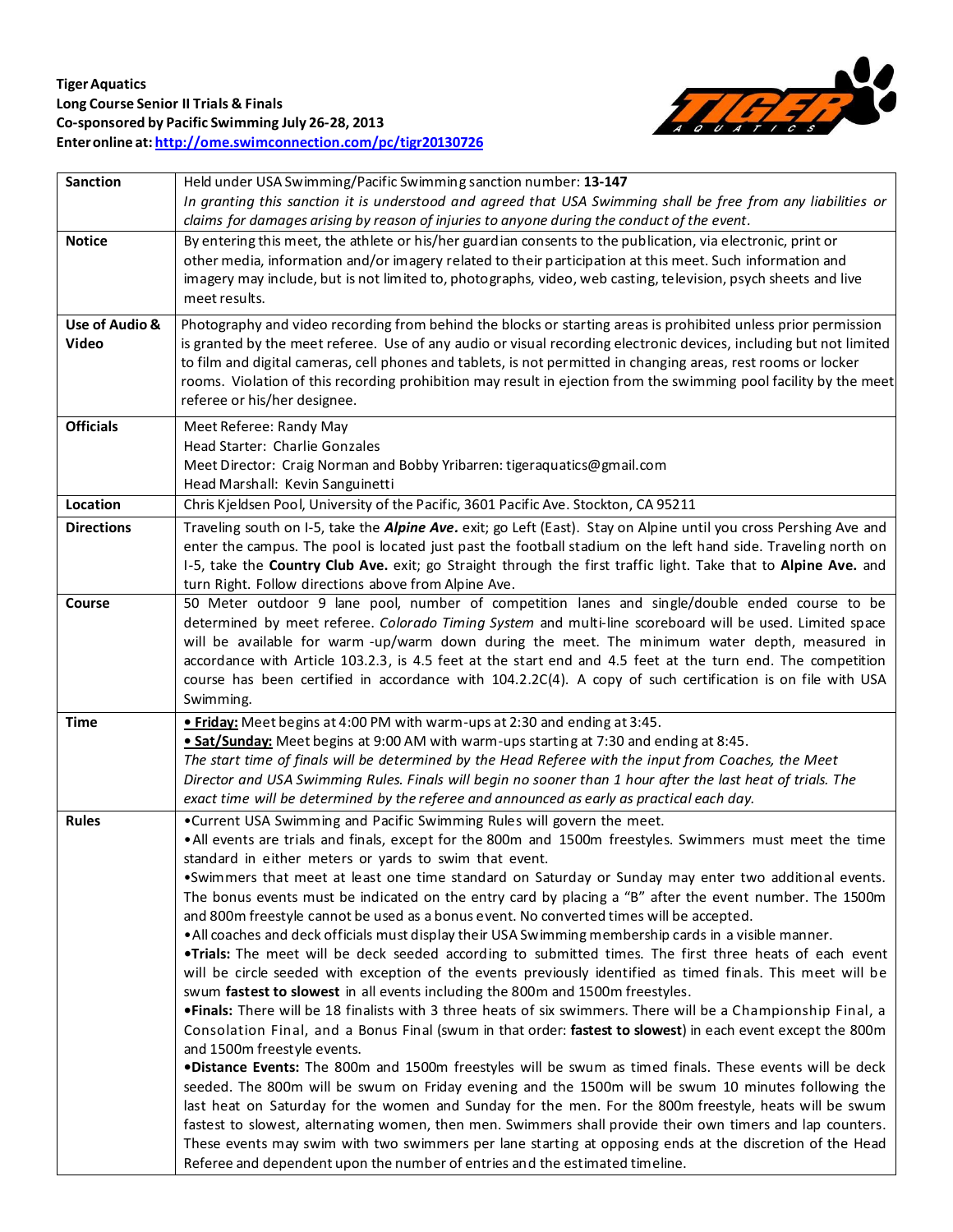

| <b>Sanction</b>   | Held under USA Swimming/Pacific Swimming sanction number: 13-147<br>In granting this sanction it is understood and agreed that USA Swimming shall be free from any liabilities or<br>claims for damages arising by reason of injuries to anyone during the conduct of the event.                                                                                                                                |
|-------------------|-----------------------------------------------------------------------------------------------------------------------------------------------------------------------------------------------------------------------------------------------------------------------------------------------------------------------------------------------------------------------------------------------------------------|
| <b>Notice</b>     | By entering this meet, the athlete or his/her guardian consents to the publication, via electronic, print or<br>other media, information and/or imagery related to their participation at this meet. Such information and<br>imagery may include, but is not limited to, photographs, video, web casting, television, psych sheets and live<br>meet results.                                                    |
| Use of Audio &    | Photography and video recording from behind the blocks or starting areas is prohibited unless prior permission                                                                                                                                                                                                                                                                                                  |
| Video             | is granted by the meet referee. Use of any audio or visual recording electronic devices, including but not limited<br>to film and digital cameras, cell phones and tablets, is not permitted in changing areas, rest rooms or locker<br>rooms. Violation of this recording prohibition may result in ejection from the swimming pool facility by the meet<br>referee or his/her designee.                       |
| <b>Officials</b>  | Meet Referee: Randy May<br>Head Starter: Charlie Gonzales<br>Meet Director: Craig Norman and Bobby Yribarren: tigeraquatics@gmail.com<br>Head Marshall: Kevin Sanguinetti                                                                                                                                                                                                                                       |
| Location          | Chris Kjeldsen Pool, University of the Pacific, 3601 Pacific Ave. Stockton, CA 95211                                                                                                                                                                                                                                                                                                                            |
| <b>Directions</b> | Traveling south on I-5, take the Alpine Ave. exit; go Left (East). Stay on Alpine until you cross Pershing Ave and<br>enter the campus. The pool is located just past the football stadium on the left hand side. Traveling north on<br>1-5, take the Country Club Ave. exit; go Straight through the first traffic light. Take that to Alpine Ave. and<br>turn Right. Follow directions above from Alpine Ave. |
| Course            | 50 Meter outdoor 9 lane pool, number of competition lanes and single/double ended course to be                                                                                                                                                                                                                                                                                                                  |
|                   | determined by meet referee. Colorado Timing System and multi-line scoreboard will be used. Limited space                                                                                                                                                                                                                                                                                                        |
|                   | will be available for warm -up/warm down during the meet. The minimum water depth, measured in                                                                                                                                                                                                                                                                                                                  |
|                   | accordance with Article 103.2.3, is 4.5 feet at the start end and 4.5 feet at the turn end. The competition                                                                                                                                                                                                                                                                                                     |
|                   | course has been certified in accordance with 104.2.2C(4). A copy of such certification is on file with USA                                                                                                                                                                                                                                                                                                      |
|                   | Swimming.                                                                                                                                                                                                                                                                                                                                                                                                       |
| <b>Time</b>       | . Friday: Meet begins at 4:00 PM with warm-ups at 2:30 and ending at 3:45.                                                                                                                                                                                                                                                                                                                                      |
|                   | . Sat/Sunday: Meet begins at 9:00 AM with warm-ups starting at 7:30 and ending at 8:45                                                                                                                                                                                                                                                                                                                          |
|                   | The start time of finals will be determined by the Head Referee with the input from Coaches, the Meet                                                                                                                                                                                                                                                                                                           |
|                   | Director and USA Swimming Rules. Finals will begin no sooner than 1 hour after the last heat of trials. The                                                                                                                                                                                                                                                                                                     |
|                   | exact time will be determined by the referee and announced as early as practical each day.                                                                                                                                                                                                                                                                                                                      |
| <b>Rules</b>      | . Current USA Swimming and Pacific Swimming Rules will govern the meet.                                                                                                                                                                                                                                                                                                                                         |
|                   | . All events are trials and finals, except for the 800m and 1500m freestyles. Swimmers must meet the time                                                                                                                                                                                                                                                                                                       |
|                   | standard in either meters or yards to swim that event.                                                                                                                                                                                                                                                                                                                                                          |
|                   | . Swimmers that meet at least one time standard on Saturday or Sunday may enter two additional events.                                                                                                                                                                                                                                                                                                          |
|                   | The bonus events must be indicated on the entry card by placing a "B" after the event number. The 1500m                                                                                                                                                                                                                                                                                                         |
|                   | and 800m freestyle cannot be used as a bonus event. No converted times will be accepted.                                                                                                                                                                                                                                                                                                                        |
|                   | . All coaches and deck officials must display their USA Swimming membership cards in a visible manner.                                                                                                                                                                                                                                                                                                          |
|                   | . Trials: The meet will be deck seeded according to submitted times. The first three heats of each event                                                                                                                                                                                                                                                                                                        |
|                   | will be circle seeded with exception of the events previously identified as timed finals. This meet will be                                                                                                                                                                                                                                                                                                     |
|                   | swum fastest to slowest in all events including the 800m and 1500m freestyles.<br>. Finals: There will be 18 finalists with 3 three heats of six swimmers. There will be a Championship Final, a                                                                                                                                                                                                                |
|                   | Consolation Final, and a Bonus Final (swum in that order: fastest to slowest) in each event except the 800m                                                                                                                                                                                                                                                                                                     |
|                   | and 1500m freestyle events.                                                                                                                                                                                                                                                                                                                                                                                     |
|                   | .Distance Events: The 800m and 1500m freestyles will be swum as timed finals. These events will be deck                                                                                                                                                                                                                                                                                                         |
|                   | seeded. The 800m will be swum on Friday evening and the 1500m will be swum 10 minutes following the                                                                                                                                                                                                                                                                                                             |
|                   | last heat on Saturday for the women and Sunday for the men. For the 800m freestyle, heats will be swum                                                                                                                                                                                                                                                                                                          |
|                   | fastest to slowest, alternating women, then men. Swimmers shall provide their own timers and lap counters.                                                                                                                                                                                                                                                                                                      |
|                   | These events may swim with two swimmers per lane starting at opposing ends at the discretion of the Head                                                                                                                                                                                                                                                                                                        |
|                   | Referee and dependent upon the number of entries and the estimated timeline.                                                                                                                                                                                                                                                                                                                                    |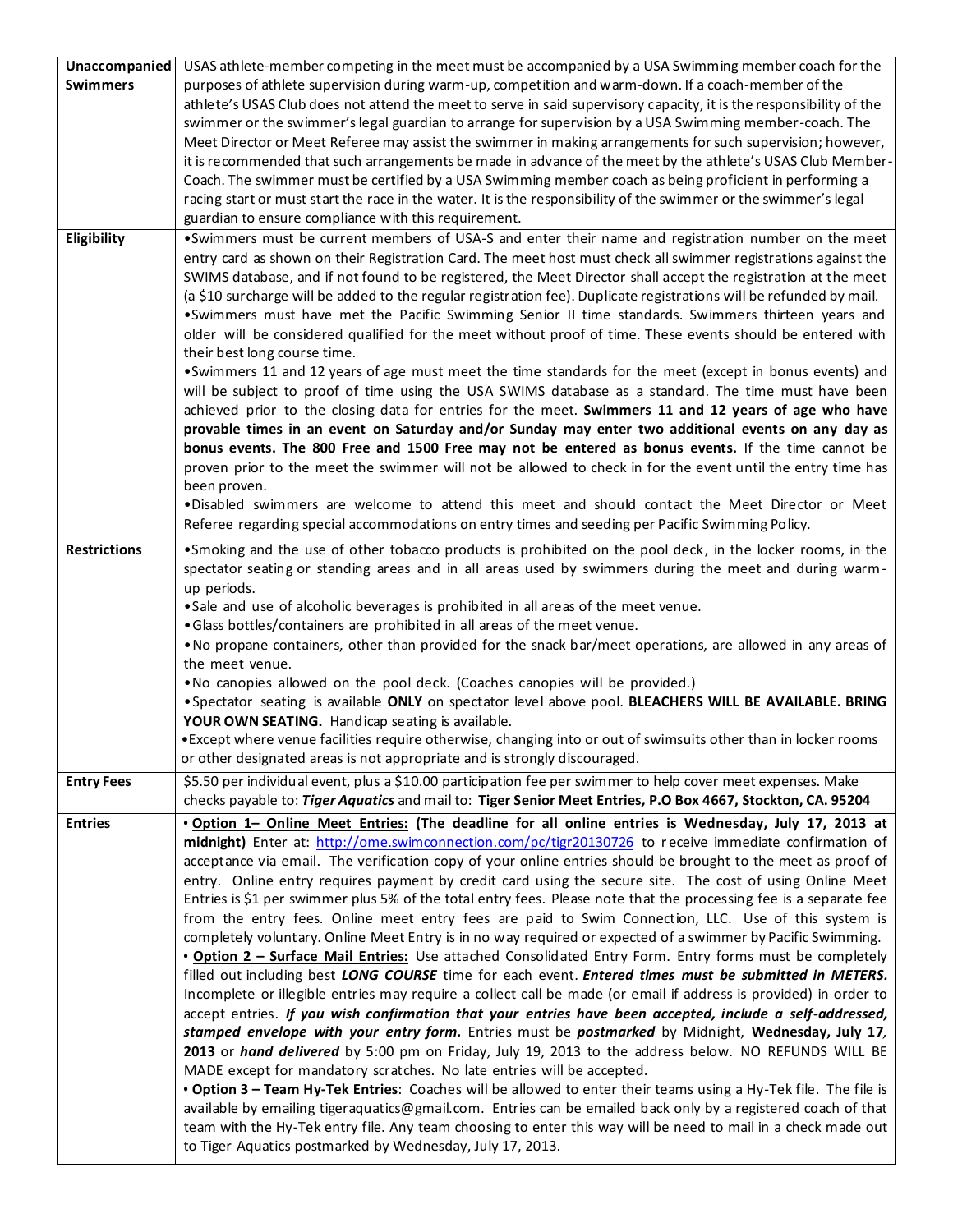| Unaccompanied       | USAS athlete-member competing in the meet must be accompanied by a USA Swimming member coach for the                |
|---------------------|---------------------------------------------------------------------------------------------------------------------|
| <b>Swimmers</b>     | purposes of athlete supervision during warm-up, competition and warm-down. If a coach-member of the                 |
|                     | athlete's USAS Club does not attend the meet to serve in said supervisory capacity, it is the responsibility of the |
|                     | swimmer or the swimmer's legal guardian to arrange for supervision by a USA Swimming member-coach. The              |
|                     | Meet Director or Meet Referee may assist the swimmer in making arrangements for such supervision; however,          |
|                     | it is recommended that such arrangements be made in advance of the meet by the athlete's USAS Club Member-          |
|                     | Coach. The swimmer must be certified by a USA Swimming member coach as being proficient in performing a             |
|                     | racing start or must start the race in the water. It is the responsibility of the swimmer or the swimmer's legal    |
|                     | guardian to ensure compliance with this requirement.                                                                |
| Eligibility         | .Swimmers must be current members of USA-S and enter their name and registration number on the meet                 |
|                     | entry card as shown on their Registration Card. The meet host must check all swimmer registrations against the      |
|                     | SWIMS database, and if not found to be registered, the Meet Director shall accept the registration at the meet      |
|                     | (a \$10 surcharge will be added to the regular registration fee). Duplicate registrations will be refunded by mail. |
|                     | .Swimmers must have met the Pacific Swimming Senior II time standards. Swimmers thirteen years and                  |
|                     | older will be considered qualified for the meet without proof of time. These events should be entered with          |
|                     | their best long course time.                                                                                        |
|                     | •Swimmers 11 and 12 years of age must meet the time standards for the meet (except in bonus events) and             |
|                     | will be subject to proof of time using the USA SWIMS database as a standard. The time must have been                |
|                     | achieved prior to the closing data for entries for the meet. Swimmers 11 and 12 years of age who have               |
|                     | provable times in an event on Saturday and/or Sunday may enter two additional events on any day as                  |
|                     | bonus events. The 800 Free and 1500 Free may not be entered as bonus events. If the time cannot be                  |
|                     | proven prior to the meet the swimmer will not be allowed to check in for the event until the entry time has         |
|                     | been proven.                                                                                                        |
|                     | .Disabled swimmers are welcome to attend this meet and should contact the Meet Director or Meet                     |
|                     | Referee regarding special accommodations on entry times and seeding per Pacific Swimming Policy.                    |
| <b>Restrictions</b> | •Smoking and the use of other tobacco products is prohibited on the pool deck, in the locker rooms, in the          |
|                     | spectator seating or standing areas and in all areas used by swimmers during the meet and during warm-              |
|                     | up periods.                                                                                                         |
|                     | .Sale and use of alcoholic beverages is prohibited in all areas of the meet venue.                                  |
|                     | .Glass bottles/containers are prohibited in all areas of the meet venue.                                            |
|                     | . No propane containers, other than provided for the snack bar/meet operations, are allowed in any areas of         |
|                     | the meet venue.                                                                                                     |
|                     | . No canopies allowed on the pool deck. (Coaches canopies will be provided.)                                        |
|                     | . Spectator seating is available ONLY on spectator level above pool. BLEACHERS WILL BE AVAILABLE. BRING             |
|                     | YOUR OWN SEATING. Handicap seating is available.                                                                    |
|                     | • Except where venue facilities require otherwise, changing into or out of swimsuits other than in locker rooms     |
|                     | or other designated areas is not appropriate and is strongly discouraged.                                           |
| <b>Entry Fees</b>   | \$5.50 per individual event, plus a \$10.00 participation fee per swimmer to help cover meet expenses. Make         |
|                     | checks payable to: Tiger Aquatics and mail to: Tiger Senior Meet Entries, P.O Box 4667, Stockton, CA. 95204         |
| <b>Entries</b>      | . Option 1- Online Meet Entries: (The deadline for all online entries is Wednesday, July 17, 2013 at                |
|                     | midnight) Enter at: http://ome.swimconnection.com/pc/tigr20130726 to receive immediate confirmation of              |
|                     | acceptance via email. The verification copy of your online entries should be brought to the meet as proof of        |
|                     | entry. Online entry requires payment by credit card using the secure site. The cost of using Online Meet            |
|                     | Entries is \$1 per swimmer plus 5% of the total entry fees. Please note that the processing fee is a separate fee   |
|                     | from the entry fees. Online meet entry fees are paid to Swim Connection, LLC. Use of this system is                 |
|                     | completely voluntary. Online Meet Entry is in no way required or expected of a swimmer by Pacific Swimming.         |
|                     | . Option 2 - Surface Mail Entries: Use attached Consolidated Entry Form. Entry forms must be completely             |
|                     | filled out including best LONG COURSE time for each event. Entered times must be submitted in METERS.               |
|                     | Incomplete or illegible entries may require a collect call be made (or email if address is provided) in order to    |
|                     | accept entries. If you wish confirmation that your entries have been accepted, include a self-addressed,            |
|                     | stamped envelope with your entry form. Entries must be postmarked by Midnight, Wednesday, July 17,                  |
|                     | 2013 or hand delivered by 5:00 pm on Friday, July 19, 2013 to the address below. NO REFUNDS WILL BE                 |
|                     | MADE except for mandatory scratches. No late entries will be accepted.                                              |
|                     | . Option 3 - Team Hy-Tek Entries: Coaches will be allowed to enter their teams using a Hy-Tek file. The file is     |
|                     | available by emailing tigeraquatics@gmail.com. Entries can be emailed back only by a registered coach of that       |
|                     | team with the Hy-Tek entry file. Any team choosing to enter this way will be need to mail in a check made out       |
|                     | to Tiger Aquatics postmarked by Wednesday, July 17, 2013.                                                           |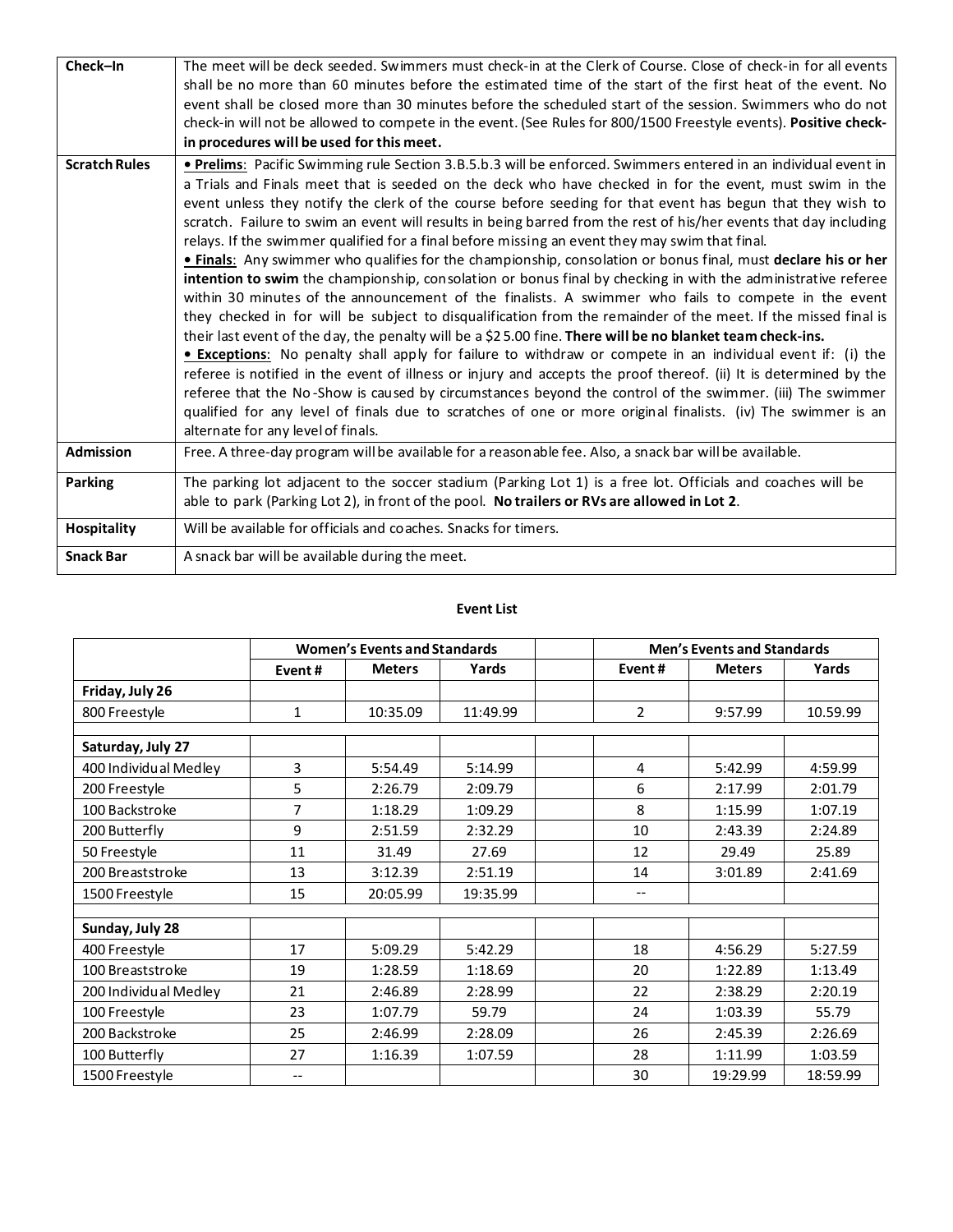| Check-In             | The meet will be deck seeded. Swimmers must check-in at the Clerk of Course. Close of check-in for all events<br>shall be no more than 60 minutes before the estimated time of the start of the first heat of the event. No<br>event shall be closed more than 30 minutes before the scheduled start of the session. Swimmers who do not                                                                                                                                                                                                                                                                                                                                                                                                                                                                                                                                                                                                                                                                                                                                                                                                                                                                                                                                                                                                                                                                                                                                                                                                                                                                                                          |
|----------------------|---------------------------------------------------------------------------------------------------------------------------------------------------------------------------------------------------------------------------------------------------------------------------------------------------------------------------------------------------------------------------------------------------------------------------------------------------------------------------------------------------------------------------------------------------------------------------------------------------------------------------------------------------------------------------------------------------------------------------------------------------------------------------------------------------------------------------------------------------------------------------------------------------------------------------------------------------------------------------------------------------------------------------------------------------------------------------------------------------------------------------------------------------------------------------------------------------------------------------------------------------------------------------------------------------------------------------------------------------------------------------------------------------------------------------------------------------------------------------------------------------------------------------------------------------------------------------------------------------------------------------------------------------|
|                      | check-in will not be allowed to compete in the event. (See Rules for 800/1500 Freestyle events). Positive check-<br>in procedures will be used for this meet.                                                                                                                                                                                                                                                                                                                                                                                                                                                                                                                                                                                                                                                                                                                                                                                                                                                                                                                                                                                                                                                                                                                                                                                                                                                                                                                                                                                                                                                                                     |
| <b>Scratch Rules</b> | . Prelims: Pacific Swimming rule Section 3.B.5.b.3 will be enforced. Swimmers entered in an individual event in<br>a Trials and Finals meet that is seeded on the deck who have checked in for the event, must swim in the<br>event unless they notify the clerk of the course before seeding for that event has begun that they wish to<br>scratch. Failure to swim an event will results in being barred from the rest of his/her events that day including<br>relays. If the swimmer qualified for a final before missing an event they may swim that final.<br>. Finals: Any swimmer who qualifies for the championship, consolation or bonus final, must declare his or her<br>intention to swim the championship, consolation or bonus final by checking in with the administrative referee<br>within 30 minutes of the announcement of the finalists. A swimmer who fails to compete in the event<br>they checked in for will be subject to disqualification from the remainder of the meet. If the missed final is<br>their last event of the day, the penalty will be a \$25.00 fine. There will be no blanket team check-ins.<br><b>Exceptions:</b> No penalty shall apply for failure to withdraw or compete in an individual event if: (i) the<br>referee is notified in the event of illness or injury and accepts the proof thereof. (ii) It is determined by the<br>referee that the No-Show is caused by circumstances beyond the control of the swimmer. (iii) The swimmer<br>qualified for any level of finals due to scratches of one or more original finalists. (iv) The swimmer is an<br>alternate for any level of finals. |
| <b>Admission</b>     | Free. A three-day program will be available for a reasonable fee. Also, a snack bar will be available.                                                                                                                                                                                                                                                                                                                                                                                                                                                                                                                                                                                                                                                                                                                                                                                                                                                                                                                                                                                                                                                                                                                                                                                                                                                                                                                                                                                                                                                                                                                                            |
| <b>Parking</b>       | The parking lot adjacent to the soccer stadium (Parking Lot 1) is a free lot. Officials and coaches will be<br>able to park (Parking Lot 2), in front of the pool. No trailers or RVs are allowed in Lot 2.                                                                                                                                                                                                                                                                                                                                                                                                                                                                                                                                                                                                                                                                                                                                                                                                                                                                                                                                                                                                                                                                                                                                                                                                                                                                                                                                                                                                                                       |
| <b>Hospitality</b>   | Will be available for officials and coaches. Snacks for timers.                                                                                                                                                                                                                                                                                                                                                                                                                                                                                                                                                                                                                                                                                                                                                                                                                                                                                                                                                                                                                                                                                                                                                                                                                                                                                                                                                                                                                                                                                                                                                                                   |
| <b>Snack Bar</b>     | A snack bar will be available during the meet.                                                                                                                                                                                                                                                                                                                                                                                                                                                                                                                                                                                                                                                                                                                                                                                                                                                                                                                                                                                                                                                                                                                                                                                                                                                                                                                                                                                                                                                                                                                                                                                                    |

## **Event List**

|                       | <b>Women's Events and Standards</b> |               |          |        | <b>Men's Events and Standards</b> |          |  |  |  |  |
|-----------------------|-------------------------------------|---------------|----------|--------|-----------------------------------|----------|--|--|--|--|
|                       | Event#                              | <b>Meters</b> | Yards    | Event# | <b>Meters</b>                     | Yards    |  |  |  |  |
| Friday, July 26       |                                     |               |          |        |                                   |          |  |  |  |  |
| 800 Freestyle         | $\mathbf{1}$                        | 10:35.09      | 11:49.99 | 2      | 9:57.99                           | 10.59.99 |  |  |  |  |
|                       |                                     |               |          |        |                                   |          |  |  |  |  |
| Saturday, July 27     |                                     |               |          |        |                                   |          |  |  |  |  |
| 400 Individual Medley | 3                                   | 5:54.49       | 5:14.99  | 4      | 5:42.99                           | 4:59.99  |  |  |  |  |
| 200 Freestyle         | 5                                   | 2:26.79       | 2:09.79  | 6      | 2:17.99                           | 2:01.79  |  |  |  |  |
| 100 Backstroke        | $\overline{7}$                      | 1:18.29       | 1:09.29  | 8      | 1:15.99                           | 1:07.19  |  |  |  |  |
| 200 Butterfly         | 9                                   | 2:51.59       | 2:32.29  | 10     | 2:43.39                           | 2:24.89  |  |  |  |  |
| 50 Freestyle          | 11                                  | 31.49         | 27.69    | 12     | 29.49                             | 25.89    |  |  |  |  |
| 200 Breaststroke      | 13                                  | 3:12.39       | 2:51.19  | 14     | 3:01.89                           | 2:41.69  |  |  |  |  |
| 1500 Freestyle        | 15                                  | 20:05.99      | 19:35.99 | $-$    |                                   |          |  |  |  |  |
|                       |                                     |               |          |        |                                   |          |  |  |  |  |
| Sunday, July 28       |                                     |               |          |        |                                   |          |  |  |  |  |
| 400 Freestyle         | 17                                  | 5:09.29       | 5:42.29  | 18     | 4:56.29                           | 5:27.59  |  |  |  |  |
| 100 Breaststroke      | 19                                  | 1:28.59       | 1:18.69  | 20     | 1:22.89                           | 1:13.49  |  |  |  |  |
| 200 Individual Medley | 21                                  | 2:46.89       | 2:28.99  | 22     | 2:38.29                           | 2:20.19  |  |  |  |  |
| 100 Freestyle         | 23                                  | 1:07.79       | 59.79    | 24     | 1:03.39                           | 55.79    |  |  |  |  |
| 200 Backstroke        | 25                                  | 2:46.99       | 2:28.09  | 26     | 2:45.39                           | 2:26.69  |  |  |  |  |
| 100 Butterfly         | 27                                  | 1:16.39       | 1:07.59  | 28     | 1:11.99                           | 1:03.59  |  |  |  |  |
| 1500 Freestyle        | $-$                                 |               |          | 30     | 19:29.99                          | 18:59.99 |  |  |  |  |